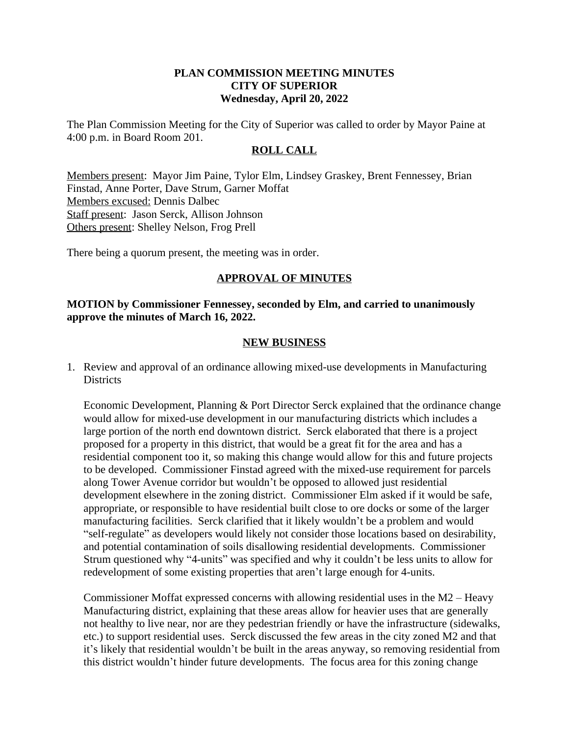### **PLAN COMMISSION MEETING MINUTES CITY OF SUPERIOR Wednesday, April 20, 2022**

The Plan Commission Meeting for the City of Superior was called to order by Mayor Paine at 4:00 p.m. in Board Room 201.

#### **ROLL CALL**

Members present: Mayor Jim Paine, Tylor Elm, Lindsey Graskey, Brent Fennessey, Brian Finstad, Anne Porter, Dave Strum, Garner Moffat Members excused: Dennis Dalbec Staff present: Jason Serck, Allison Johnson Others present: Shelley Nelson, Frog Prell

There being a quorum present, the meeting was in order.

# **APPROVAL OF MINUTES**

**MOTION by Commissioner Fennessey, seconded by Elm, and carried to unanimously approve the minutes of March 16, 2022.**

### **NEW BUSINESS**

1. Review and approval of an ordinance allowing mixed-use developments in Manufacturing **Districts** 

Economic Development, Planning & Port Director Serck explained that the ordinance change would allow for mixed-use development in our manufacturing districts which includes a large portion of the north end downtown district. Serck elaborated that there is a project proposed for a property in this district, that would be a great fit for the area and has a residential component too it, so making this change would allow for this and future projects to be developed. Commissioner Finstad agreed with the mixed-use requirement for parcels along Tower Avenue corridor but wouldn't be opposed to allowed just residential development elsewhere in the zoning district. Commissioner Elm asked if it would be safe, appropriate, or responsible to have residential built close to ore docks or some of the larger manufacturing facilities. Serck clarified that it likely wouldn't be a problem and would "self-regulate" as developers would likely not consider those locations based on desirability, and potential contamination of soils disallowing residential developments. Commissioner Strum questioned why "4-units" was specified and why it couldn't be less units to allow for redevelopment of some existing properties that aren't large enough for 4-units.

Commissioner Moffat expressed concerns with allowing residential uses in the M2 – Heavy Manufacturing district, explaining that these areas allow for heavier uses that are generally not healthy to live near, nor are they pedestrian friendly or have the infrastructure (sidewalks, etc.) to support residential uses. Serck discussed the few areas in the city zoned M2 and that it's likely that residential wouldn't be built in the areas anyway, so removing residential from this district wouldn't hinder future developments. The focus area for this zoning change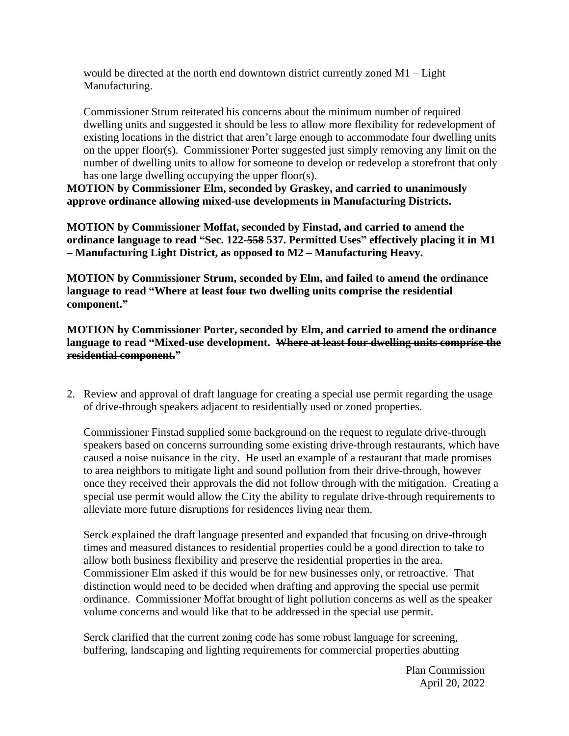would be directed at the north end downtown district currently zoned M1 – Light Manufacturing.

Commissioner Strum reiterated his concerns about the minimum number of required dwelling units and suggested it should be less to allow more flexibility for redevelopment of existing locations in the district that aren't large enough to accommodate four dwelling units on the upper floor(s). Commissioner Porter suggested just simply removing any limit on the number of dwelling units to allow for someone to develop or redevelop a storefront that only has one large dwelling occupying the upper floor(s).

**MOTION by Commissioner Elm, seconded by Graskey, and carried to unanimously approve ordinance allowing mixed-use developments in Manufacturing Districts.**

**MOTION by Commissioner Moffat, seconded by Finstad, and carried to amend the ordinance language to read "Sec. 122-558 537. Permitted Uses" effectively placing it in M1 – Manufacturing Light District, as opposed to M2 – Manufacturing Heavy.**

**MOTION by Commissioner Strum, seconded by Elm, and failed to amend the ordinance language to read "Where at least four two dwelling units comprise the residential component."**

**MOTION by Commissioner Porter, seconded by Elm, and carried to amend the ordinance language to read "Mixed-use development. Where at least four dwelling units comprise the residential component."**

2. Review and approval of draft language for creating a special use permit regarding the usage of drive-through speakers adjacent to residentially used or zoned properties.

Commissioner Finstad supplied some background on the request to regulate drive-through speakers based on concerns surrounding some existing drive-through restaurants, which have caused a noise nuisance in the city. He used an example of a restaurant that made promises to area neighbors to mitigate light and sound pollution from their drive-through, however once they received their approvals the did not follow through with the mitigation. Creating a special use permit would allow the City the ability to regulate drive-through requirements to alleviate more future disruptions for residences living near them.

Serck explained the draft language presented and expanded that focusing on drive-through times and measured distances to residential properties could be a good direction to take to allow both business flexibility and preserve the residential properties in the area. Commissioner Elm asked if this would be for new businesses only, or retroactive. That distinction would need to be decided when drafting and approving the special use permit ordinance. Commissioner Moffat brought of light pollution concerns as well as the speaker volume concerns and would like that to be addressed in the special use permit.

Serck clarified that the current zoning code has some robust language for screening, buffering, landscaping and lighting requirements for commercial properties abutting